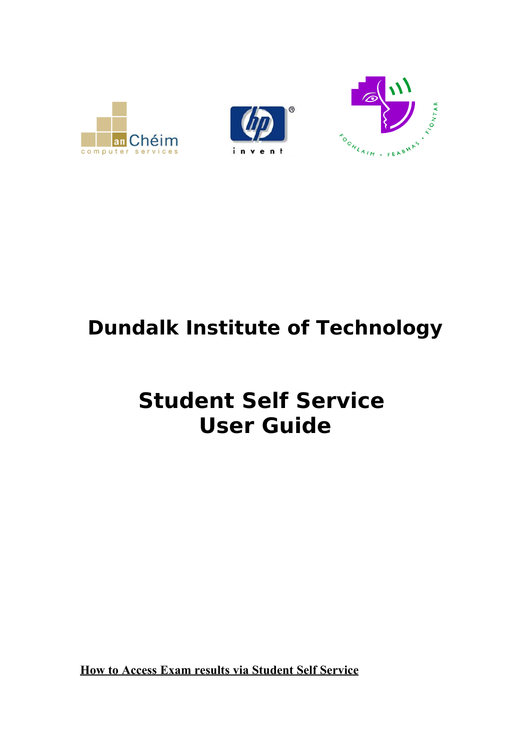

## **Dundalk Institute of Technology**

## **Student Self Service User Guide**

**How to Access Exam results via Student Self Service**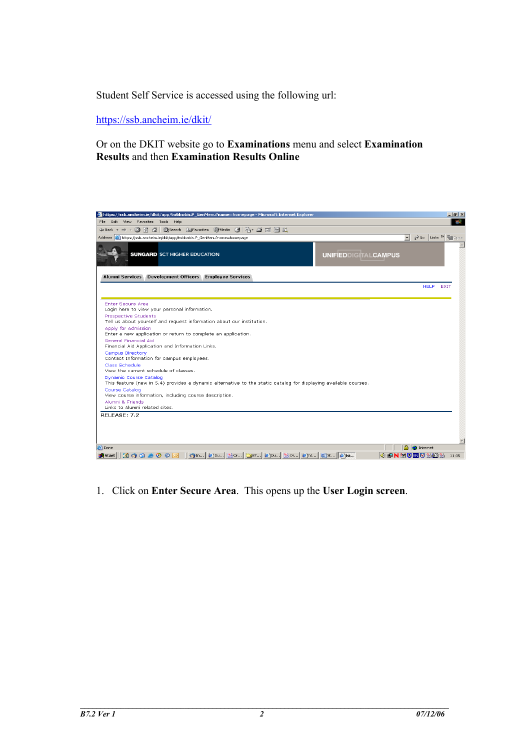Student Self Service is accessed using the following url:

<https://ssb.ancheim.ie/dkit/>

## Or on the DKIT website go to **Examinations** menu and select **Examination Results** and then **Examination Results Online**

| https://ssb.ancheim.ie/dkit/app/twbkwbis.P_GenMenu?name=homepage - Microsoft Internet Explorer                                                                                                                                |                             |                                       | $-10 \times$             |
|-------------------------------------------------------------------------------------------------------------------------------------------------------------------------------------------------------------------------------|-----------------------------|---------------------------------------|--------------------------|
| Edit View Favorites Tools Help<br>File:                                                                                                                                                                                       |                             |                                       | 312                      |
| ↓Back ▼ → ▼ ③ 図 △   ◎Search 国Favorites ④Media ③   A→ → 回 目 説                                                                                                                                                                  |                             |                                       |                          |
| Address <b>&amp;</b> https://ssb.ancheim.ie/dkit/app/twbkwbis.P GenMenu?name=homepage                                                                                                                                         |                             | $\phi$ Go Links $\gg$<br>$\mathbf{r}$ | F <sub>1</sub> Open      |
| <b>SUNGARD SCT HIGHER EDUCATION</b>                                                                                                                                                                                           | <b>UNIFIEDDIGITALCAMPUS</b> |                                       |                          |
| Alumni Services Development Officers Employee Services                                                                                                                                                                        |                             | <b>HELP</b>                           | <b>EXIT</b>              |
| Enter Secure Area<br>Login here to view your personal information.<br>Prospective Students<br>Tell us about yourself and request information about our institution.<br>Apply for Admission                                    |                             |                                       |                          |
| Enter a new application or return to complete an application.<br><b>General Financial Aid</b><br>Financial Aid Application and Information Links.<br>Campus Directory<br>Contact Information for campus employees.            |                             |                                       |                          |
| Class Schedule<br>View the current schedule of classes.                                                                                                                                                                       |                             |                                       |                          |
| <b>Dynamic Course Catalog</b><br>This feature (new in 5.4) provides a dynamic alternative to the static catalog for displaying available courses.<br>Course Catalog<br>View course information, including course description. |                             |                                       |                          |
| Alumni & Friends<br>Links to Alumni related sites.                                                                                                                                                                            |                             |                                       |                          |
| RELEASE: 7.2                                                                                                                                                                                                                  |                             |                                       |                          |
|                                                                                                                                                                                                                               |                             |                                       |                          |
|                                                                                                                                                                                                                               |                             |                                       |                          |
| e Done                                                                                                                                                                                                                        |                             | <b>A C</b> Internet                   | $\overline{\phantom{a}}$ |
|                                                                                                                                                                                                                               |                             |                                       |                          |

1. Click on **Enter Secure Area**. This opens up the **User Login screen**.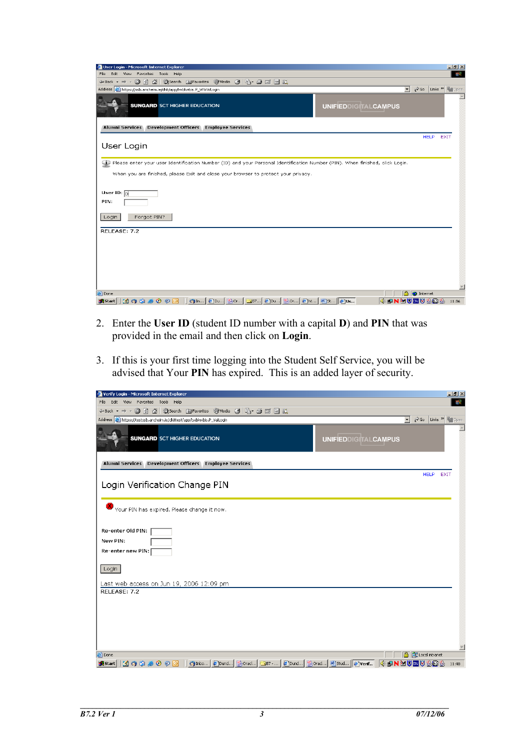| User Login - Microsoft Internet Explorer                                                                                       |                             | $-10 \times$                                        |
|--------------------------------------------------------------------------------------------------------------------------------|-----------------------------|-----------------------------------------------------|
| Edit View Favorites Tools Help<br>File:                                                                                        |                             | 412                                                 |
| ←Back ▼ → → ◎ ② △   ◎Search intervorites ③ media ③   马 - 刍 ゴ 目 总                                                               |                             |                                                     |
| Address & https://ssb.ancheim.ie/dkit/app/twbkwbis.P_WWWLogin                                                                  |                             | Co Links > For Open<br>$\overline{\phantom{a}}$     |
| <b>SUNGARD</b> SCT HIGHER EDUCATION                                                                                            | <b>UNIFIEDDIGITALCAMPUS</b> |                                                     |
| Alumni Services Development Officers Employee Services                                                                         |                             |                                                     |
| User Login                                                                                                                     |                             | <b>HELP</b><br><b>EXIT</b>                          |
| D Please enter your user Identification Number (ID) and your Personal Identification Number (PIN). When finished, click Login. |                             |                                                     |
| When you are finished, please Exit and close your browser to protect your privacy.                                             |                             |                                                     |
|                                                                                                                                |                             |                                                     |
| User ID: $\boxed{0}$<br>PIN:                                                                                                   |                             |                                                     |
| Forgot PIN?<br>Login                                                                                                           |                             |                                                     |
| RELEASE: 7.2                                                                                                                   |                             |                                                     |
|                                                                                                                                |                             |                                                     |
|                                                                                                                                |                             |                                                     |
|                                                                                                                                |                             |                                                     |
|                                                                                                                                |                             |                                                     |
|                                                                                                                                |                             |                                                     |
|                                                                                                                                |                             |                                                     |
| e Done                                                                                                                         |                             | $\overline{\phantom{m}}$<br>ê.<br><b>D</b> Internet |
| ぴ0 9 9 8 0 9 © │ 9m 2pu 2pu GB7 2pu 2pu 8ht 2ht 5}<br><b>B</b> Start                                                           |                             | 11:36                                               |
|                                                                                                                                |                             |                                                     |

- 2. Enter the **User ID** (student ID number with a capital **D**) and **PIN** that was provided in the email and then click on **Login**.
- 3. If this is your first time logging into the Student Self Service, you will be advised that Your **PIN** has expired. This is an added layer of security.

| Verify Login - Microsoft Internet Explorer                            |                                                                                                      |                                                     | $ B $ $\times$          |
|-----------------------------------------------------------------------|------------------------------------------------------------------------------------------------------|-----------------------------------------------------|-------------------------|
| View Favorites Tools Help<br>File<br>Edit                             |                                                                                                      |                                                     | 獅                       |
| ←Back ▼ → → ◎ ③ △   ◎Search ③Favorites ④Media ③ B- ③ 回 国 説            |                                                                                                      |                                                     |                         |
| Address   https://testssb.ancheim.ie/dkittest/app/twbkwbis.P_ValLogin |                                                                                                      | $\hat{\rho}$ Go Links $\frac{3}{2}$<br>$\mathbf{r}$ | <b>F</b> open           |
| <b>SUNGARD</b> SCT HIGHER EDUCATION                                   | <b>UNIFIEDDIGITALCAMPUS</b>                                                                          |                                                     |                         |
| Alumni Services Development Officers Employee Services                |                                                                                                      |                                                     |                         |
| Login Verification Change PIN                                         |                                                                                                      | <b>HELP</b><br><b>EXIT</b>                          |                         |
| Your PIN has expired. Please change it now.                           |                                                                                                      |                                                     |                         |
| Re-enter Old PIN:<br>New PIN:<br>Re-enter new PIN:                    |                                                                                                      |                                                     |                         |
| Login                                                                 |                                                                                                      |                                                     |                         |
| Last web access on Jun 19, 2006 12:09 pm                              |                                                                                                      |                                                     |                         |
| RELEASE: 7.2                                                          |                                                                                                      |                                                     |                         |
|                                                                       |                                                                                                      |                                                     |                         |
|                                                                       |                                                                                                      |                                                     |                         |
|                                                                       |                                                                                                      |                                                     |                         |
|                                                                       |                                                                                                      |                                                     |                         |
|                                                                       |                                                                                                      |                                                     |                         |
| e) Done                                                               |                                                                                                      | <b>合 图 Local intranet</b>                           | $\overline{\mathbf{v}}$ |
|                                                                       | and the model of the Direction ( Second Left Dund   Second Left Dund   19 Stud   20 Stud   20 Verif… | 4 单N2 3 3 3 3 4 4 11:40                             |                         |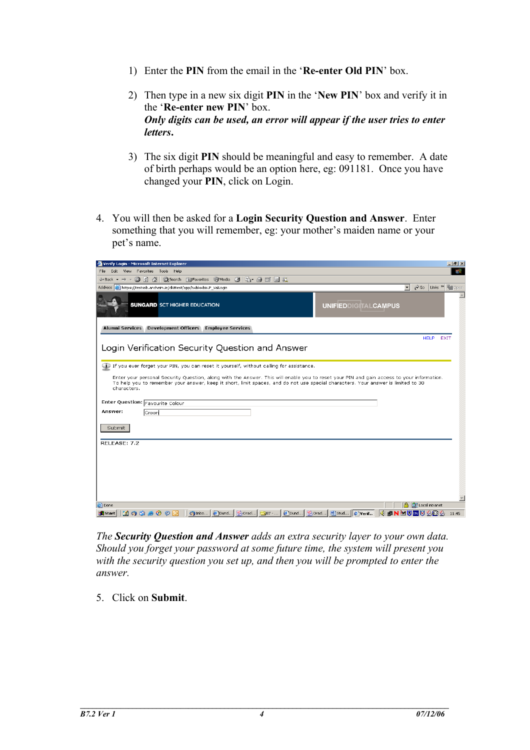- 1) Enter the **PIN** from the email in the '**Re-enter Old PIN**' box.
- 2) Then type in a new six digit **PIN** in the '**New PIN**' box and verify it in the '**Re-enter new PIN**' box. *Only digits can be used, an error will appear if the user tries to enter letters***.**
- 3) The six digit **PIN** should be meaningful and easy to remember. A date of birth perhaps would be an option here, eg: 091181. Once you have changed your **PIN**, click on Login.
- 4. You will then be asked for a **Login Security Question and Answer**. Enter something that you will remember, eg: your mother's maiden name or your pet's name.

| Verify Login - Microsoft Internet Explorer                                                                                                       |                             |                                                            | $\Box$ $\bf{F}$ $\bf{X}$ |
|--------------------------------------------------------------------------------------------------------------------------------------------------|-----------------------------|------------------------------------------------------------|--------------------------|
| Edit View Favorites Tools Help<br>File.                                                                                                          |                             |                                                            | 甜                        |
| ↓Back ▼ → ▼ ③ 図 △   ◎Search 南Favorites ④Media ③   A → ③ 回 目 説                                                                                    |                             |                                                            |                          |
| Address <sup>[26]</sup> https://testssb.ancheim.ie/dkittest/app/twbkwbis.P ValLoqin                                                              |                             | $\overline{\mathbf{r}}$<br>$\approx$ Go<br>Links > Finopen |                          |
| <b>SUNGARD</b> SCT HIGHER EDUCATION                                                                                                              | <b>UNIFIEDDIGITALCAMPUS</b> |                                                            |                          |
| Alumni Services Development Officers Employee Services                                                                                           |                             |                                                            |                          |
|                                                                                                                                                  |                             | <b>HELP</b>                                                | <b>EXIT</b>              |
| Login Verification Security Question and Answer                                                                                                  |                             |                                                            |                          |
|                                                                                                                                                  |                             |                                                            |                          |
| <b>D</b> If you ever forget your PIN, you can reset it yourself, without calling for assistance.                                                 |                             |                                                            |                          |
|                                                                                                                                                  |                             |                                                            |                          |
| Enter your personal Security Question, along with the Answer. This will enable you to reset your PIN and gain access to your information.        |                             |                                                            |                          |
| To help you to remember your answer, keep it short, limit spaces, and do not use special characters. Your answer is limited to 30<br>characters. |                             |                                                            |                          |
|                                                                                                                                                  |                             |                                                            |                          |
| Enter Question: Favourite Colour                                                                                                                 |                             |                                                            |                          |
| Answer:                                                                                                                                          |                             |                                                            |                          |
| Green                                                                                                                                            |                             |                                                            |                          |
|                                                                                                                                                  |                             |                                                            |                          |
| Submit                                                                                                                                           |                             |                                                            |                          |
|                                                                                                                                                  |                             |                                                            |                          |
|                                                                                                                                                  |                             |                                                            |                          |
|                                                                                                                                                  |                             |                                                            |                          |
|                                                                                                                                                  |                             |                                                            |                          |
|                                                                                                                                                  |                             |                                                            |                          |
|                                                                                                                                                  |                             |                                                            |                          |
|                                                                                                                                                  |                             |                                                            |                          |
|                                                                                                                                                  |                             |                                                            |                          |
|                                                                                                                                                  |                             |                                                            |                          |
|                                                                                                                                                  |                             |                                                            |                          |
| RELEASE: 7.2<br>e Done                                                                                                                           |                             | <b>合 图 Local intranet</b>                                  |                          |

*The Security Question and Answer adds an extra security layer to your own data. Should you forget your password at some future time, the system will present you with the security question you set up, and then you will be prompted to enter the answer.*

5. Click on **Submit**.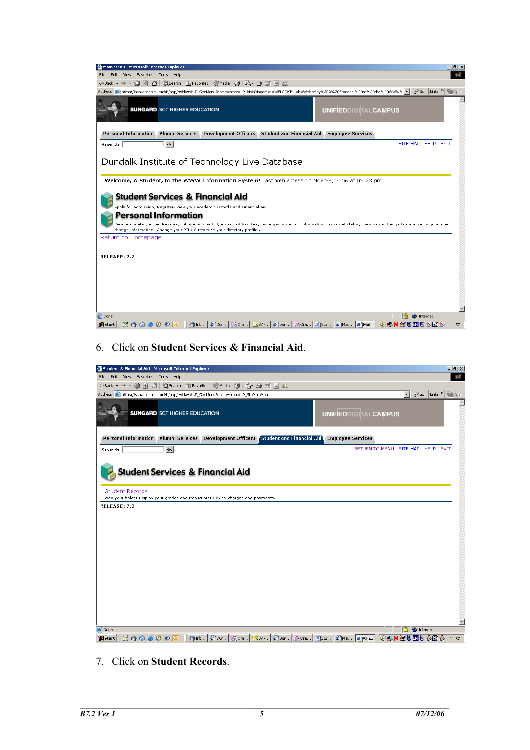

6. Click on **Student Services & Financial Aid**.



7. Click on **Student Records**.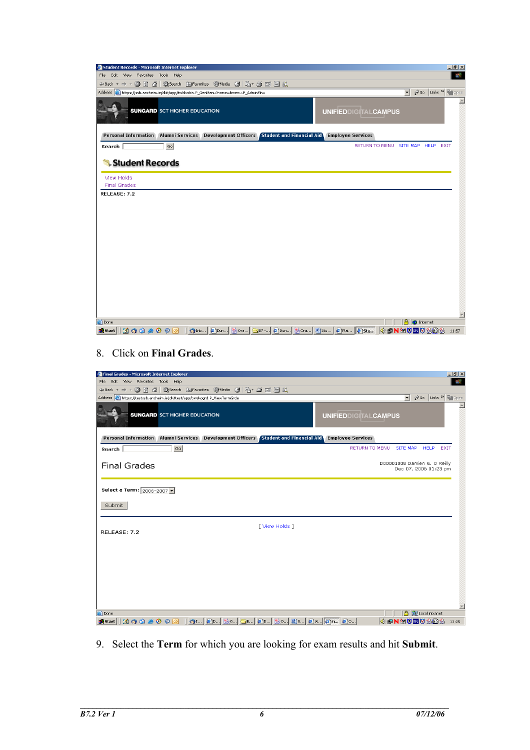| Student Records - Microsoft Internet Explorer                                                                                       |                                   |                   | $H = 2$                 |
|-------------------------------------------------------------------------------------------------------------------------------------|-----------------------------------|-------------------|-------------------------|
| Edit View Favorites Tools Help<br>File -                                                                                            |                                   |                   | 棚                       |
| ←Back ▼ → ▼ ② ⑦ 企│ ③Search   Favorites   ④Media   ③ │ B ▼ 3 回 目 总                                                                   |                                   |                   |                         |
| Address <sup>8</sup> https://ssb.ancheim.ie/dkit/app/twbkwbis.P_GenMenu?name=bmenu.P_AdminMnu                                       |                                   | $\mathbf{r}$      | Co Links > Copen        |
| <b>SUNGARD</b> SCT HIGHER EDUCATION                                                                                                 | <b>UNIFIEDDIGITALCAMPUS</b>       |                   | $\blacktriangle$        |
| Alumni Services Development Officers Student and Financial Aid<br><b>Personal Information</b>                                       | <b>Employee Services</b>          |                   |                         |
| Go<br>Search                                                                                                                        | RETURN TO MENU SITE MAP HELP EXIT |                   |                         |
| Student Records<br>View Holds                                                                                                       |                                   |                   |                         |
| <b>Final Grades</b><br>RELEASE: 7.2                                                                                                 |                                   |                   |                         |
|                                                                                                                                     |                                   |                   |                         |
| <b>e</b> Done                                                                                                                       |                                   | <b>A</b> Internet |                         |
| <b>[4] (9 G @ ⊙ ⊙  ] (9</b> Inb   @Dun  Bora  <del>_</del> B7 -  @Dun  Bora  @]Stu   @]Mai   <mark>@]Stu</mark>  <br><b>B</b> Start |                                   |                   | <b>《曲N函划图划卷图卷 11:57</b> |

8. Click on **Final Grades**.

| Final Grades - Microsoft Internet Explorer                                          | $\Box$ ill $\times$                                                                               |
|-------------------------------------------------------------------------------------|---------------------------------------------------------------------------------------------------|
| Edit View Favorites Tools Help<br>File                                              | 482                                                                                               |
| ←Back ← → ← ② ⑦ 企│ ③Search 全Favorites ④Media ③   23 → ④ 図 目 説                       |                                                                                                   |
| Address et https://testssb.ancheim.ie/dkittest/app/bwskogrd.P_ViewTermGrde          | $\hat{\alpha}$ Go<br>$\overline{\phantom{a}}$<br>Links <sup>&gt;&gt;</sup><br>F <sub>1</sub> Open |
| <b>SUNGARD SCT HIGHER EDUCATION</b>                                                 | $\blacktriangle$<br><b>UNIFIEDDIGITALCAMPUS</b>                                                   |
| Personal Information Alumni Services Development Officers Student and Financial Aid | <b>Employee Services</b>                                                                          |
| Go<br>Search                                                                        | RETURN TO MENU SITE MAP HELP EXIT                                                                 |
| <b>Final Grades</b>                                                                 | D00001008 Damien G. O Reilly<br>Dec 07, 2006 01:23 pm                                             |
| Select a Term: 2006-2007 -                                                          |                                                                                                   |
| Submit                                                                              |                                                                                                   |
| [ View Holds ]<br>RELEASE: 7.2                                                      |                                                                                                   |
|                                                                                     |                                                                                                   |
|                                                                                     |                                                                                                   |
|                                                                                     |                                                                                                   |
|                                                                                     |                                                                                                   |
|                                                                                     |                                                                                                   |
|                                                                                     | $\overline{\phantom{a}}$                                                                          |
| e Done                                                                              | <b>合 图 Local intranet</b>                                                                         |
| <b>B</b> Start                                                                      | <b>《中NMU画V头图头</b><br>13:25                                                                        |

9. Select the **Term** for which you are looking for exam results and hit **Submit**.